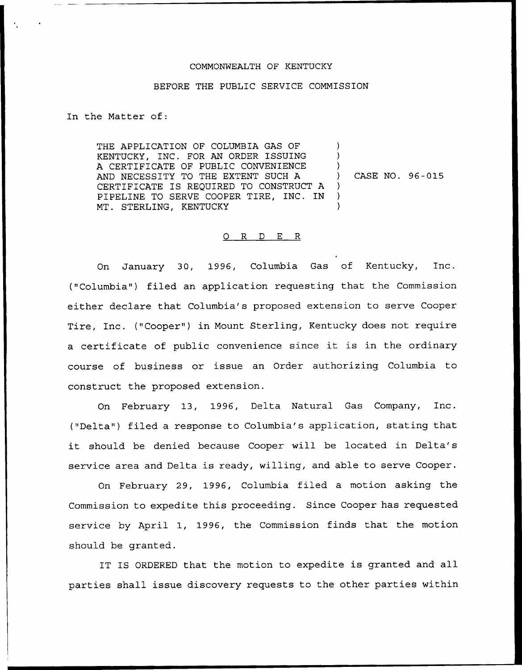# COMMONNEALTH OF KENTUCKY

#### BEFORE THE PUBLIC SERVICE COMMISSION

In the Matter of:

THE APPLICATION OF COLUMBIA GAS OF KENTUCKY, INC. FOR AN ORDER ISSUING A CERTIFICATE OF PUBLIC CONVENIENCE AND NECESSITY TO THE EXTENT SUCH A CERTIFICATE IS REQUIRED TO CONSTRUCT <sup>A</sup> PIPELINE TO SERVE COOPER TIRE, INC. IN MT. STERLING, KENTUCKY ) ) ) ) CASE NO. 96-015  $\lambda$ ) )

### 0 R <sup>D</sup> E R

On January 30, 1996, Columbia Gas of Kentucky, Inc. ("Columbia") filed an application requesting that the Commission either declare that Columbia's proposed extension to serve Cooper Tire, Inc. ("Cooper") in Mount Sterling, Kentucky does not require <sup>a</sup> certificate of public convenience since it is in the ordinary course of business or issue an Order authorizing Columbia to construct the proposed extension.

On February 13, 1996, Delta Natural Gas Company, Inc. ("Delta") filed a response to Columbia's application, stating that it should be denied because Cooper will be located in Delta's service area and Delta is ready, willing, and able to serve Cooper.

On February 29, 1996, Columbia filed a motion asking the Commission to expedite this proceeding. Since Cooper has requested service by April 1, 1996, the Commission finds that the motion should be granted.

IT IS ORDERED that the motion to expedite is granted and all parties shall issue discovery requests to the other parties within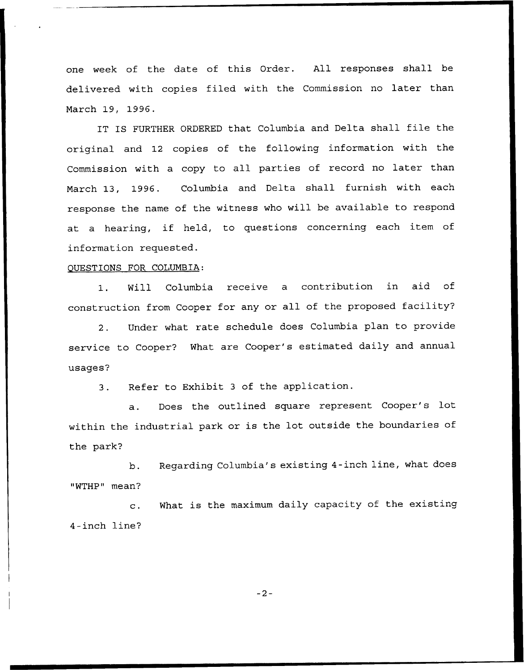one week of the date of this Order. All responses shall be delivered with copies filed with the Commission no later than March 19, 1996.

IT IS FURTHER ORDERED that Columbia and Delta shall file the original and 12 copies of the following information with the Commission with a copy to all parties of record no later than March 13, 1996. Columbia and Delta shall furnish with each response the name of the witness who will be available to respond at <sup>a</sup> hearing, if held, to questions concerning each item of information requested.

# OUESTIONS FOR COLUMBIA:

1. Will Columbia receive a contribution in aid of construction from Cooper for any or all of the proposed facility?

2. Under what rate schedule does Columbia plan to provide service to Cooper'? What are Cooper's estimated daily and annual usages?

3. Refer to Exhibit <sup>3</sup> of the application.

a. Does the outlined square represent Cooper's lot within the industrial park or is the lot outside the boundaries of the park?

b. Regarding Columbia's existing 4-inch line, what does "WTHP" mean?

c. What is the maximum daily capacity of the existing 4-inch line?

 $-2-$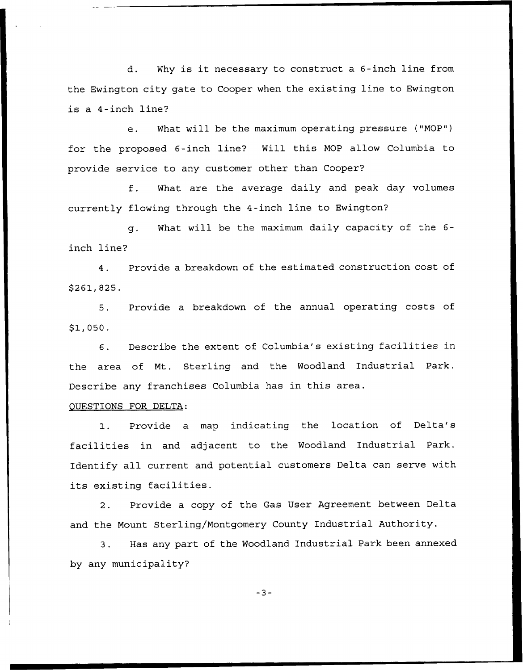d. Why is it necessary to construct <sup>a</sup> 6-inch line from the Ewington city gate to Cooper when the existing line to Ewington is a 4-inch line'

e. What will be the maximum operating pressure ("MOP") for the proposed 6-inch line? Will this MOP allow Columbia to provide service to any customer other than Cooper?

f. What are the average daily and peak day volumes currently flowing through the 4-inch line to Ewington?

g. What will be the maximum daily capacity of the 6 inch line?

4. Provide a breakdown of the estimated construction cost of \$ 261,825.

5. Provide a breakdown of the annual operating costs of \$1,050.

6. Describe the extent of Columbia's existing facilities in the area of Nt. Sterling and the Woodland Industrial Park. Describe any franchises Columbia has in this area.

# OUESTIONS FOR DELTA:

1. Provide <sup>a</sup> map indicating the location of Delta's facilities in and adjacent to the Woodland Industrial Park. Identify all current and potential customers Delta can serve with its existing facilities.

2. Provide a copy of the Gas User Agreement between Delta and the Mount Sterling/Montgomery County Industrial Authority.

3. Has any part of the Woodland Industrial Park been annexed by any municipality?

 $-3-$